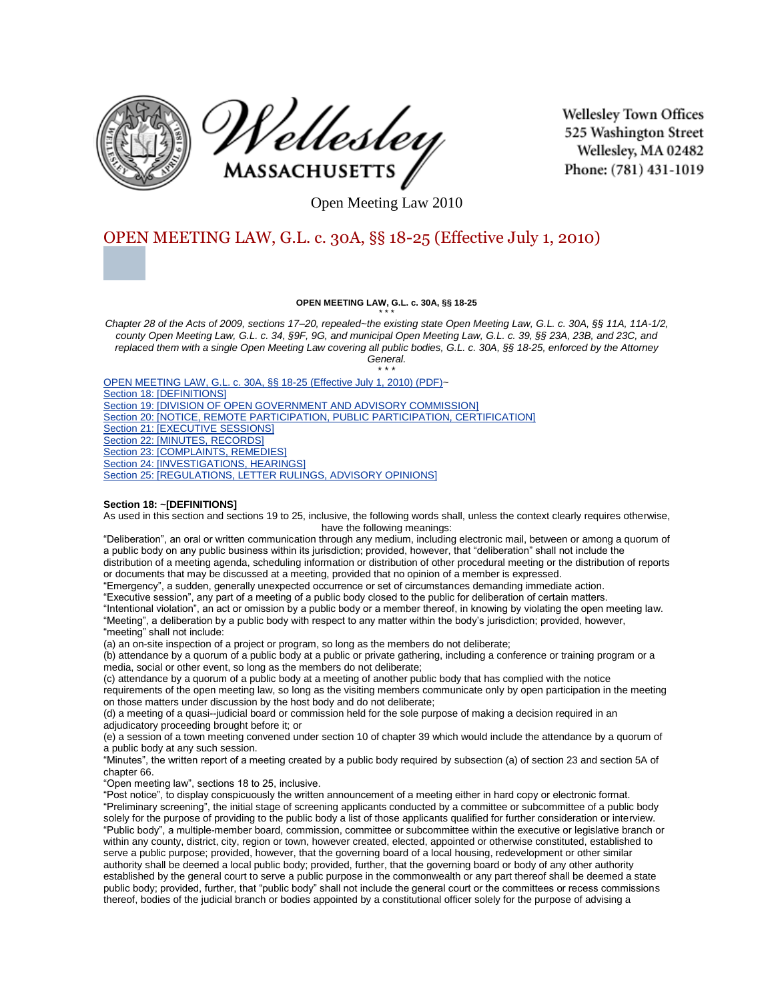



**Wellesley Town Offices** 525 Washington Street Wellesley, MA 02482 Phone: (781) 431-1019

Open Meeting Law 2010

# [OPEN](http://www.wellesleyma.gov/Pages/WellesleyMA_Clerk/townbylaws/007A43FF-000F8513.0/6302010_125220_0.png?src=.BMP) MEETING LAW, G.L. c. 30A, §§ 18-25 (Effective July 1, 2010)

#### **OPEN MEETING LAW, G.L. c. 30A, §§ 18-25** \* \* \*

*Chapter 28 of the Acts of 2009, sections 17–20, repealed~the existing state Open Meeting Law, G.L. c. 30A, §§ 11A, 11A-1/2, county Open Meeting Law, G.L. c. 34, §9F, 9G, and municipal Open Meeting Law, G.L. c. 39, §§ 23A, 23B, and 23C, and replaced them with a single Open Meeting Law covering all public bodies, G.L. c. 30A, §§ 18-25, enforced by the Attorney General.*

\* \* \*

OPEN MEETING LAW, G.L. c. 30A, §§ 18-25 (Effective July 1, 2010) (PDF)~ Section 18: [DEFINITIONS] Section 19: DIVISION OF OPEN GOVERNMENT AND ADVISORY COMMISSION] Section 20: [NOTICE, REMOTE PARTICIPATION, PUBLIC PARTICIPATION, CERTIFICATION] Section 21: **[EXECUTIVE SESSIONS]** Section 22: [MINUTES, RECORDS] Section 23: [COMPLAINTS, REMEDIES] Section 24: [INVESTIGATIONS, HEARINGS] Section 25: [REGULATIONS, LETTER RULINGS, ADVISORY OPINIONS]

#### **Section 18: ~[DEFINITIONS]**

As used in this section and sections 19 to 25, inclusive, the following words shall, unless the context clearly requires otherwise, have the following meanings:

"Deliberation", an oral or written communication through any medium, including electronic mail, between or among a quorum of a public body on any public business within its jurisdiction; provided, however, that "deliberation" shall not include the distribution of a meeting agenda, scheduling information or distribution of other procedural meeting or the distribution of reports or documents that may be discussed at a meeting, provided that no opinion of a member is expressed.

"Emergency", a sudden, generally unexpected occurrence or set of circumstances demanding immediate action. "Executive session", any part of a meeting of a public body closed to the public for deliberation of certain matters.

"Intentional violation", an act or omission by a public body or a member thereof, in knowing by violating the open meeting law. "Meeting", a deliberation by a public body with respect to any matter within the body's jurisdiction; provided, however, "meeting" shall not include:

(a) an on-site inspection of a project or program, so long as the members do not deliberate;

(b) attendance by a quorum of a public body at a public or private gathering, including a conference or training program or a media, social or other event, so long as the members do not deliberate;

(c) attendance by a quorum of a public body at a meeting of another public body that has complied with the notice requirements of the open meeting law, so long as the visiting members communicate only by open participation in the meeting on those matters under discussion by the host body and do not deliberate;

(d) a meeting of a quasi--judicial board or commission held for the sole purpose of making a decision required in an adjudicatory proceeding brought before it; or

(e) a session of a town meeting convened under section 10 of chapter 39 which would include the attendance by a quorum of a public body at any such session.

"Minutes", the written report of a meeting created by a public body required by subsection (a) of section 23 and section 5A of chapter 66.

"Open meeting law", sections 18 to 25, inclusive.

"Post notice", to display conspicuously the written announcement of a meeting either in hard copy or electronic format. "Preliminary screening", the initial stage of screening applicants conducted by a committee or subcommittee of a public body solely for the purpose of providing to the public body a list of those applicants qualified for further consideration or interview. "Public body", a multiple-member board, commission, committee or subcommittee within the executive or legislative branch or within any county, district, city, region or town, however created, elected, appointed or otherwise constituted, established to serve a public purpose; provided, however, that the governing board of a local housing, redevelopment or other similar authority shall be deemed a local public body; provided, further, that the governing board or body of any other authority established by the general court to serve a public purpose in the commonwealth or any part thereof shall be deemed a state public body; provided, further, that "public body" shall not include the general court or the committees or recess commissions thereof, bodies of the judicial branch or bodies appointed by a constitutional officer solely for the purpose of advising a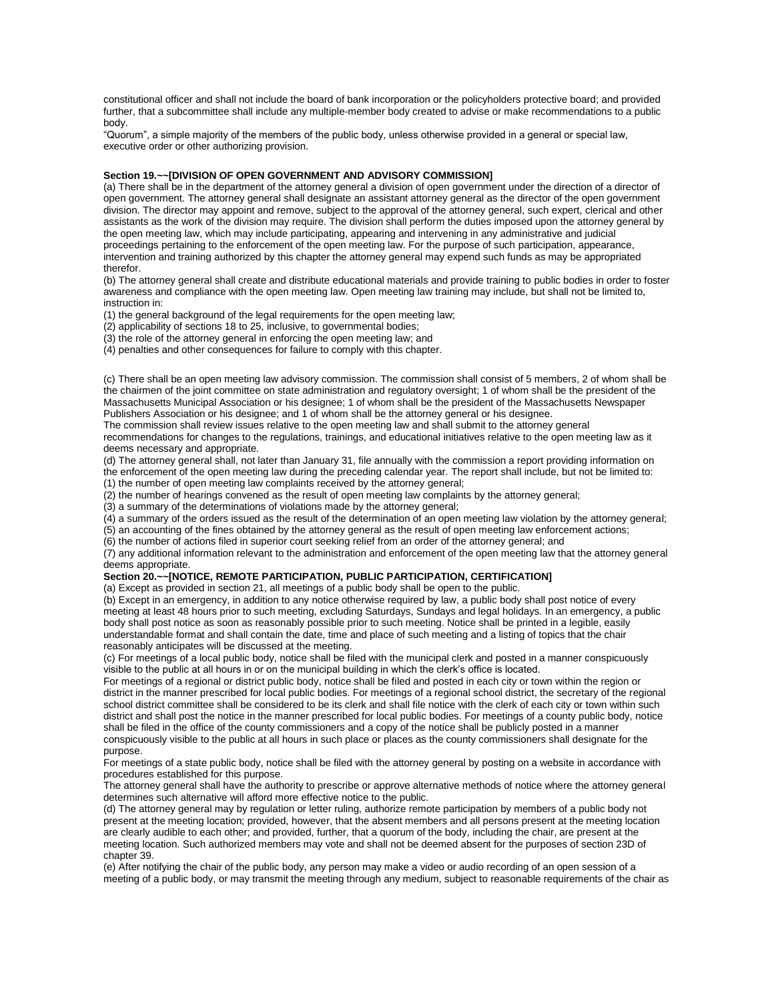constitutional officer and shall not include the board of bank incorporation or the policyholders protective board; and provided further, that a subcommittee shall include any multiple-member body created to advise or make recommendations to a public body.

"Quorum", a simple majority of the members of the public body, unless otherwise provided in a general or special law, executive order or other authorizing provision.

### **Section 19.~~[DIVISION OF OPEN GOVERNMENT AND ADVISORY COMMISSION]**

(a) There shall be in the department of the attorney general a division of open government under the direction of a director of open government. The attorney general shall designate an assistant attorney general as the director of the open government division. The director may appoint and remove, subject to the approval of the attorney general, such expert, clerical and other assistants as the work of the division may require. The division shall perform the duties imposed upon the attorney general by the open meeting law, which may include participating, appearing and intervening in any administrative and judicial proceedings pertaining to the enforcement of the open meeting law. For the purpose of such participation, appearance, intervention and training authorized by this chapter the attorney general may expend such funds as may be appropriated therefor.

(b) The attorney general shall create and distribute educational materials and provide training to public bodies in order to foster awareness and compliance with the open meeting law. Open meeting law training may include, but shall not be limited to, instruction in:

(1) the general background of the legal requirements for the open meeting law;

(2) applicability of sections 18 to 25, inclusive, to governmental bodies;

(3) the role of the attorney general in enforcing the open meeting law; and

(4) penalties and other consequences for failure to comply with this chapter.

(c) There shall be an open meeting law advisory commission. The commission shall consist of 5 members, 2 of whom shall be the chairmen of the joint committee on state administration and regulatory oversight; 1 of whom shall be the president of the Massachusetts Municipal Association or his designee; 1 of whom shall be the president of the Massachusetts Newspaper Publishers Association or his designee; and 1 of whom shall be the attorney general or his designee.

The commission shall review issues relative to the open meeting law and shall submit to the attorney general recommendations for changes to the regulations, trainings, and educational initiatives relative to the open meeting law as it deems necessary and appropriate.

(d) The attorney general shall, not later than January 31, file annually with the commission a report providing information on the enforcement of the open meeting law during the preceding calendar year. The report shall include, but not be limited to: (1) the number of open meeting law complaints received by the attorney general;

(2) the number of hearings convened as the result of open meeting law complaints by the attorney general;

(3) a summary of the determinations of violations made by the attorney general;

(4) a summary of the orders issued as the result of the determination of an open meeting law violation by the attorney general;

(5) an accounting of the fines obtained by the attorney general as the result of open meeting law enforcement actions;

(6) the number of actions filed in superior court seeking relief from an order of the attorney general; and

(7) any additional information relevant to the administration and enforcement of the open meeting law that the attorney general deems appropriate.

### **Section 20.~~[NOTICE, REMOTE PARTICIPATION, PUBLIC PARTICIPATION, CERTIFICATION]**

(a) Except as provided in section 21, all meetings of a public body shall be open to the public.

(b) Except in an emergency, in addition to any notice otherwise required by law, a public body shall post notice of every meeting at least 48 hours prior to such meeting, excluding Saturdays, Sundays and legal holidays. In an emergency, a public body shall post notice as soon as reasonably possible prior to such meeting. Notice shall be printed in a legible, easily understandable format and shall contain the date, time and place of such meeting and a listing of topics that the chair reasonably anticipates will be discussed at the meeting.

(c) For meetings of a local public body, notice shall be filed with the municipal clerk and posted in a manner conspicuously visible to the public at all hours in or on the municipal building in which the clerk's office is located.

For meetings of a regional or district public body, notice shall be filed and posted in each city or town within the region or district in the manner prescribed for local public bodies. For meetings of a regional school district, the secretary of the regional school district committee shall be considered to be its clerk and shall file notice with the clerk of each city or town within such district and shall post the notice in the manner prescribed for local public bodies. For meetings of a county public body, notice shall be filed in the office of the county commissioners and a copy of the notice shall be publicly posted in a manner conspicuously visible to the public at all hours in such place or places as the county commissioners shall designate for the purpose.

For meetings of a state public body, notice shall be filed with the attorney general by posting on a website in accordance with procedures established for this purpose.

The attorney general shall have the authority to prescribe or approve alternative methods of notice where the attorney general determines such alternative will afford more effective notice to the public.

(d) The attorney general may by regulation or letter ruling, authorize remote participation by members of a public body not present at the meeting location; provided, however, that the absent members and all persons present at the meeting location are clearly audible to each other; and provided, further, that a quorum of the body, including the chair, are present at the meeting location. Such authorized members may vote and shall not be deemed absent for the purposes of section 23D of chapter 39.

(e) After notifying the chair of the public body, any person may make a video or audio recording of an open session of a meeting of a public body, or may transmit the meeting through any medium, subject to reasonable requirements of the chair as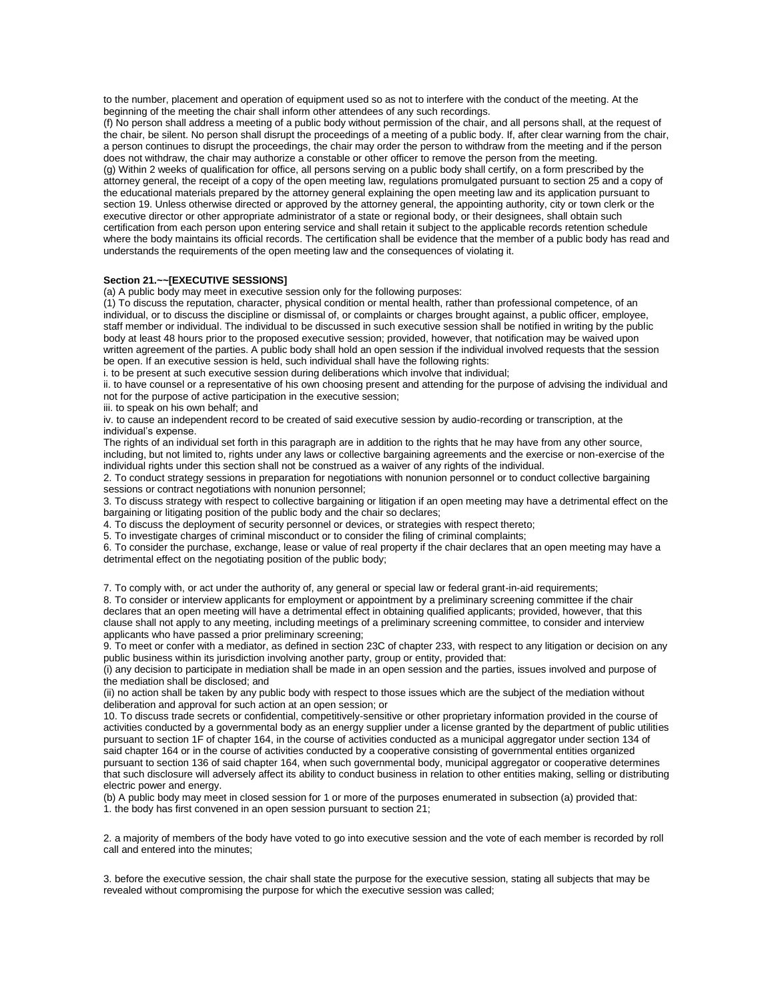to the number, placement and operation of equipment used so as not to interfere with the conduct of the meeting. At the beginning of the meeting the chair shall inform other attendees of any such recordings.

(f) No person shall address a meeting of a public body without permission of the chair, and all persons shall, at the request of the chair, be silent. No person shall disrupt the proceedings of a meeting of a public body. If, after clear warning from the chair, a person continues to disrupt the proceedings, the chair may order the person to withdraw from the meeting and if the person does not withdraw, the chair may authorize a constable or other officer to remove the person from the meeting. (g) Within 2 weeks of qualification for office, all persons serving on a public body shall certify, on a form prescribed by the attorney general, the receipt of a copy of the open meeting law, regulations promulgated pursuant to section 25 and a copy of the educational materials prepared by the attorney general explaining the open meeting law and its application pursuant to section 19. Unless otherwise directed or approved by the attorney general, the appointing authority, city or town clerk or the executive director or other appropriate administrator of a state or regional body, or their designees, shall obtain such certification from each person upon entering service and shall retain it subject to the applicable records retention schedule where the body maintains its official records. The certification shall be evidence that the member of a public body has read and understands the requirements of the open meeting law and the consequences of violating it.

## **Section 21.~~[EXECUTIVE SESSIONS]**

(a) A public body may meet in executive session only for the following purposes:

(1) To discuss the reputation, character, physical condition or mental health, rather than professional competence, of an individual, or to discuss the discipline or dismissal of, or complaints or charges brought against, a public officer, employee, staff member or individual. The individual to be discussed in such executive session shall be notified in writing by the public body at least 48 hours prior to the proposed executive session; provided, however, that notification may be waived upon written agreement of the parties. A public body shall hold an open session if the individual involved requests that the session be open. If an executive session is held, such individual shall have the following rights:

i. to be present at such executive session during deliberations which involve that individual;

ii. to have counsel or a representative of his own choosing present and attending for the purpose of advising the individual and not for the purpose of active participation in the executive session;

iii. to speak on his own behalf; and

iv. to cause an independent record to be created of said executive session by audio-recording or transcription, at the individual's expense.

The rights of an individual set forth in this paragraph are in addition to the rights that he may have from any other source, including, but not limited to, rights under any laws or collective bargaining agreements and the exercise or non-exercise of the individual rights under this section shall not be construed as a waiver of any rights of the individual.

2. To conduct strategy sessions in preparation for negotiations with nonunion personnel or to conduct collective bargaining sessions or contract negotiations with nonunion personnel;

3. To discuss strategy with respect to collective bargaining or litigation if an open meeting may have a detrimental effect on the bargaining or litigating position of the public body and the chair so declares;

4. To discuss the deployment of security personnel or devices, or strategies with respect thereto;

5. To investigate charges of criminal misconduct or to consider the filing of criminal complaints;

6. To consider the purchase, exchange, lease or value of real property if the chair declares that an open meeting may have a detrimental effect on the negotiating position of the public body;

7. To comply with, or act under the authority of, any general or special law or federal grant-in-aid requirements;

8. To consider or interview applicants for employment or appointment by a preliminary screening committee if the chair declares that an open meeting will have a detrimental effect in obtaining qualified applicants; provided, however, that this clause shall not apply to any meeting, including meetings of a preliminary screening committee, to consider and interview applicants who have passed a prior preliminary screening;

9. To meet or confer with a mediator, as defined in section 23C of chapter 233, with respect to any litigation or decision on any public business within its jurisdiction involving another party, group or entity, provided that:

(i) any decision to participate in mediation shall be made in an open session and the parties, issues involved and purpose of the mediation shall be disclosed; and

(ii) no action shall be taken by any public body with respect to those issues which are the subject of the mediation without deliberation and approval for such action at an open session; or

10. To discuss trade secrets or confidential, competitively-sensitive or other proprietary information provided in the course of activities conducted by a governmental body as an energy supplier under a license granted by the department of public utilities pursuant to section 1F of chapter 164, in the course of activities conducted as a municipal aggregator under section 134 of said chapter 164 or in the course of activities conducted by a cooperative consisting of governmental entities organized pursuant to section 136 of said chapter 164, when such governmental body, municipal aggregator or cooperative determines that such disclosure will adversely affect its ability to conduct business in relation to other entities making, selling or distributing electric power and energy.

(b) A public body may meet in closed session for 1 or more of the purposes enumerated in subsection (a) provided that: 1. the body has first convened in an open session pursuant to section 21;

2. a majority of members of the body have voted to go into executive session and the vote of each member is recorded by roll call and entered into the minutes;

3. before the executive session, the chair shall state the purpose for the executive session, stating all subjects that may be revealed without compromising the purpose for which the executive session was called;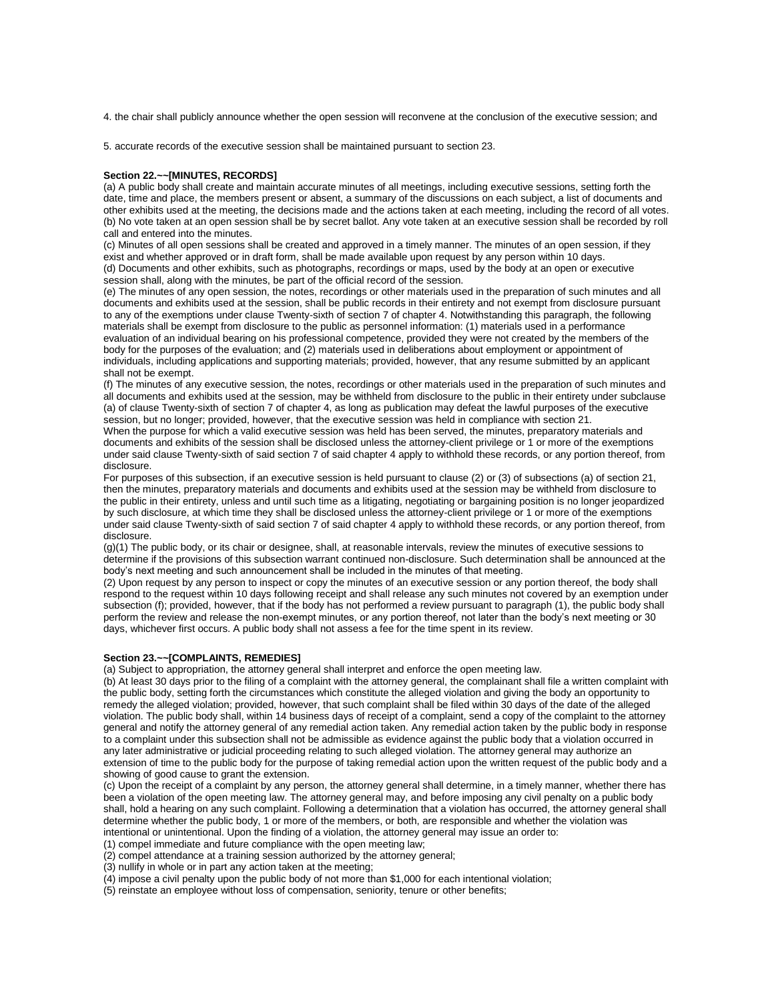4. the chair shall publicly announce whether the open session will reconvene at the conclusion of the executive session; and

5. accurate records of the executive session shall be maintained pursuant to section 23.

### **Section 22.~~[MINUTES, RECORDS]**

(a) A public body shall create and maintain accurate minutes of all meetings, including executive sessions, setting forth the date, time and place, the members present or absent, a summary of the discussions on each subject, a list of documents and other exhibits used at the meeting, the decisions made and the actions taken at each meeting, including the record of all votes. (b) No vote taken at an open session shall be by secret ballot. Any vote taken at an executive session shall be recorded by roll call and entered into the minutes.

(c) Minutes of all open sessions shall be created and approved in a timely manner. The minutes of an open session, if they exist and whether approved or in draft form, shall be made available upon request by any person within 10 days. (d) Documents and other exhibits, such as photographs, recordings or maps, used by the body at an open or executive session shall, along with the minutes, be part of the official record of the session.

(e) The minutes of any open session, the notes, recordings or other materials used in the preparation of such minutes and all documents and exhibits used at the session, shall be public records in their entirety and not exempt from disclosure pursuant to any of the exemptions under clause Twenty-sixth of section 7 of chapter 4. Notwithstanding this paragraph, the following materials shall be exempt from disclosure to the public as personnel information: (1) materials used in a performance evaluation of an individual bearing on his professional competence, provided they were not created by the members of the body for the purposes of the evaluation; and (2) materials used in deliberations about employment or appointment of individuals, including applications and supporting materials; provided, however, that any resume submitted by an applicant shall not be exempt.

(f) The minutes of any executive session, the notes, recordings or other materials used in the preparation of such minutes and all documents and exhibits used at the session, may be withheld from disclosure to the public in their entirety under subclause (a) of clause Twenty-sixth of section 7 of chapter 4, as long as publication may defeat the lawful purposes of the executive session, but no longer; provided, however, that the executive session was held in compliance with section 21.

When the purpose for which a valid executive session was held has been served, the minutes, preparatory materials and documents and exhibits of the session shall be disclosed unless the attorney-client privilege or 1 or more of the exemptions under said clause Twenty-sixth of said section 7 of said chapter 4 apply to withhold these records, or any portion thereof, from disclosure.

For purposes of this subsection, if an executive session is held pursuant to clause (2) or (3) of subsections (a) of section 21, then the minutes, preparatory materials and documents and exhibits used at the session may be withheld from disclosure to the public in their entirety, unless and until such time as a litigating, negotiating or bargaining position is no longer jeopardized by such disclosure, at which time they shall be disclosed unless the attorney-client privilege or 1 or more of the exemptions under said clause Twenty-sixth of said section 7 of said chapter 4 apply to withhold these records, or any portion thereof, from disclosure.

(g)(1) The public body, or its chair or designee, shall, at reasonable intervals, review the minutes of executive sessions to determine if the provisions of this subsection warrant continued non-disclosure. Such determination shall be announced at the body's next meeting and such announcement shall be included in the minutes of that meeting.

(2) Upon request by any person to inspect or copy the minutes of an executive session or any portion thereof, the body shall respond to the request within 10 days following receipt and shall release any such minutes not covered by an exemption under subsection (f); provided, however, that if the body has not performed a review pursuant to paragraph (1), the public body shall perform the review and release the non-exempt minutes, or any portion thereof, not later than the body's next meeting or 30 days, whichever first occurs. A public body shall not assess a fee for the time spent in its review.

### **Section 23.~~[COMPLAINTS, REMEDIES]**

(a) Subject to appropriation, the attorney general shall interpret and enforce the open meeting law.

(b) At least 30 days prior to the filing of a complaint with the attorney general, the complainant shall file a written complaint with the public body, setting forth the circumstances which constitute the alleged violation and giving the body an opportunity to remedy the alleged violation; provided, however, that such complaint shall be filed within 30 days of the date of the alleged violation. The public body shall, within 14 business days of receipt of a complaint, send a copy of the complaint to the attorney general and notify the attorney general of any remedial action taken. Any remedial action taken by the public body in response to a complaint under this subsection shall not be admissible as evidence against the public body that a violation occurred in any later administrative or judicial proceeding relating to such alleged violation. The attorney general may authorize an extension of time to the public body for the purpose of taking remedial action upon the written request of the public body and a showing of good cause to grant the extension.

(c) Upon the receipt of a complaint by any person, the attorney general shall determine, in a timely manner, whether there has been a violation of the open meeting law. The attorney general may, and before imposing any civil penalty on a public body shall, hold a hearing on any such complaint. Following a determination that a violation has occurred, the attorney general shall determine whether the public body, 1 or more of the members, or both, are responsible and whether the violation was intentional or unintentional. Upon the finding of a violation, the attorney general may issue an order to:

(1) compel immediate and future compliance with the open meeting law;

(2) compel attendance at a training session authorized by the attorney general;

(3) nullify in whole or in part any action taken at the meeting;

(4) impose a civil penalty upon the public body of not more than \$1,000 for each intentional violation;

(5) reinstate an employee without loss of compensation, seniority, tenure or other benefits;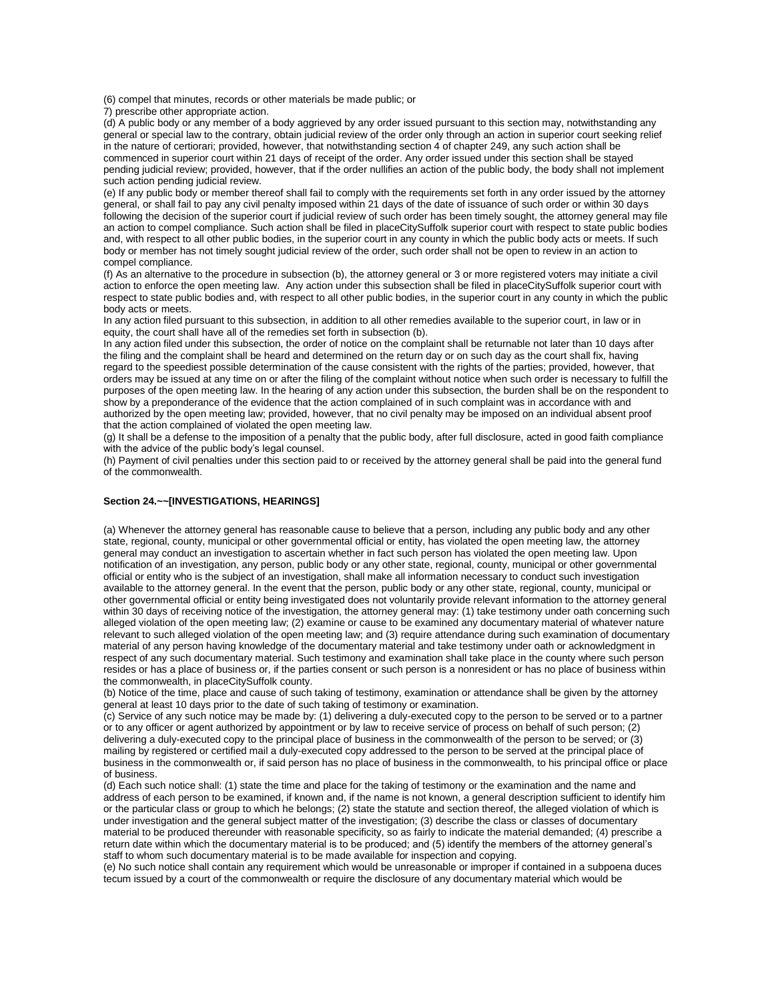(6) compel that minutes, records or other materials be made public; or

7) prescribe other appropriate action.

(d) A public body or any member of a body aggrieved by any order issued pursuant to this section may, notwithstanding any general or special law to the contrary, obtain judicial review of the order only through an action in superior court seeking relief in the nature of certiorari; provided, however, that notwithstanding section 4 of chapter 249, any such action shall be commenced in superior court within 21 days of receipt of the order. Any order issued under this section shall be stayed pending judicial review; provided, however, that if the order nullifies an action of the public body, the body shall not implement such action pending judicial review.

(e) If any public body or member thereof shall fail to comply with the requirements set forth in any order issued by the attorney general, or shall fail to pay any civil penalty imposed within 21 days of the date of issuance of such order or within 30 days following the decision of the superior court if judicial review of such order has been timely sought, the attorney general may file an action to compel compliance. Such action shall be filed in placeCitySuffolk superior court with respect to state public bodies and, with respect to all other public bodies, in the superior court in any county in which the public body acts or meets. If such body or member has not timely sought judicial review of the order, such order shall not be open to review in an action to compel compliance.

(f) As an alternative to the procedure in subsection (b), the attorney general or 3 or more registered voters may initiate a civil action to enforce the open meeting law. Any action under this subsection shall be filed in placeCitySuffolk superior court with respect to state public bodies and, with respect to all other public bodies, in the superior court in any county in which the public body acts or meets.

In any action filed pursuant to this subsection, in addition to all other remedies available to the superior court, in law or in equity, the court shall have all of the remedies set forth in subsection (b).

In any action filed under this subsection, the order of notice on the complaint shall be returnable not later than 10 days after the filing and the complaint shall be heard and determined on the return day or on such day as the court shall fix, having regard to the speediest possible determination of the cause consistent with the rights of the parties; provided, however, that orders may be issued at any time on or after the filing of the complaint without notice when such order is necessary to fulfill the purposes of the open meeting law. In the hearing of any action under this subsection, the burden shall be on the respondent to show by a preponderance of the evidence that the action complained of in such complaint was in accordance with and authorized by the open meeting law; provided, however, that no civil penalty may be imposed on an individual absent proof that the action complained of violated the open meeting law.

(g) It shall be a defense to the imposition of a penalty that the public body, after full disclosure, acted in good faith compliance with the advice of the public body's legal counsel.

(h) Payment of civil penalties under this section paid to or received by the attorney general shall be paid into the general fund of the commonwealth.

### **Section 24.~~[INVESTIGATIONS, HEARINGS]**

(a) Whenever the attorney general has reasonable cause to believe that a person, including any public body and any other state, regional, county, municipal or other governmental official or entity, has violated the open meeting law, the attorney general may conduct an investigation to ascertain whether in fact such person has violated the open meeting law. Upon notification of an investigation, any person, public body or any other state, regional, county, municipal or other governmental official or entity who is the subject of an investigation, shall make all information necessary to conduct such investigation available to the attorney general. In the event that the person, public body or any other state, regional, county, municipal or other governmental official or entity being investigated does not voluntarily provide relevant information to the attorney general within 30 days of receiving notice of the investigation, the attorney general may: (1) take testimony under oath concerning such alleged violation of the open meeting law; (2) examine or cause to be examined any documentary material of whatever nature relevant to such alleged violation of the open meeting law; and (3) require attendance during such examination of documentary material of any person having knowledge of the documentary material and take testimony under oath or acknowledgment in respect of any such documentary material. Such testimony and examination shall take place in the county where such person resides or has a place of business or, if the parties consent or such person is a nonresident or has no place of business within the commonwealth, in placeCitySuffolk county.

(b) Notice of the time, place and cause of such taking of testimony, examination or attendance shall be given by the attorney general at least 10 days prior to the date of such taking of testimony or examination.

(c) Service of any such notice may be made by: (1) delivering a duly-executed copy to the person to be served or to a partner or to any officer or agent authorized by appointment or by law to receive service of process on behalf of such person; (2) delivering a duly-executed copy to the principal place of business in the commonwealth of the person to be served; or (3) mailing by registered or certified mail a duly-executed copy addressed to the person to be served at the principal place of business in the commonwealth or, if said person has no place of business in the commonwealth, to his principal office or place of business.

(d) Each such notice shall: (1) state the time and place for the taking of testimony or the examination and the name and address of each person to be examined, if known and, if the name is not known, a general description sufficient to identify him or the particular class or group to which he belongs; (2) state the statute and section thereof, the alleged violation of which is under investigation and the general subject matter of the investigation; (3) describe the class or classes of documentary material to be produced thereunder with reasonable specificity, so as fairly to indicate the material demanded; (4) prescribe a return date within which the documentary material is to be produced; and (5) identify the members of the attorney general's staff to whom such documentary material is to be made available for inspection and copying.

(e) No such notice shall contain any requirement which would be unreasonable or improper if contained in a subpoena duces tecum issued by a court of the commonwealth or require the disclosure of any documentary material which would be